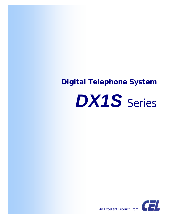## *Digital Telephone System*





*An Excellent Product From*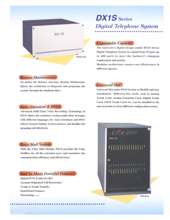

#### **Remote Maintenance**

No matter the distance and time, Remote Maintenance allows the technician to diagnosis and programs the system through the telephone lines.

#### **Auto-Attendant & DISA**

**Advanced Solid State Voice Recording Technology in** DX1S allows the customers custom-made their messages with different languages for Auto-Attendant and DISA (Direct Inward Station Access) features and handles the incoming call effectively.

#### **Voice Mail System**

With the Voice Mail Module, DX1S provides the Voice MailBox for all the extension users and maximizes the communication efficiency and effectiveness.

#### **And So Many Powerful Features**

Digital PCM Trunk (E1-R2) **Account Originated Toll Restriction Trunk to Trunk Transfer Hotel/Motel Features** Networking ......

# $DX1S$  Series **Digital Telephone System**

#### **Expandable Capacity**

The innovative digital design enable DX1S Series Digital Telephone System to expand from 32 ports up to 480 ports to meet the business's changing requirement and growth.

Modular architecture ensures cost effectiveness in different capacity.

#### **Universal Slot**

Universal Slot make DX1S System so flexible and easy installation. Different line cards, such as Analog Trunk Card, Analog Extension Card, Digital Trunk Card, E&M Trunk Card etc., can be installed in the universal slots to form different configuration system.



DX1S-E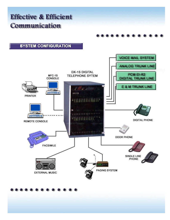### **Effective & Efficient** Communication

#### **SYSTEM CONFIGURATION**

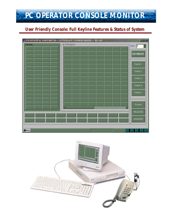

### *User Friendly Console: Full Keyline Features & Status of System*

| <b>TRUNK</b><br><b>EXTENSION-</b><br>목<br>$ID =$<br>$\vert$ 1<br><b>DAY/NIGHT</b><br>PARK-1<br>PARK-2<br>PARK-3<br>PARK-4<br>PARK-5<br><b>FLASH</b><br>圓<br>E<br><b>RELEASE</b><br>ANSWER |               | <b>EXISDIGITAL PABX MFC1S &lt;&lt; ATTENDANT CONSOLE MODE&gt;&gt;</b> $ID = 01$ | L <sub>L</sub> |
|-------------------------------------------------------------------------------------------------------------------------------------------------------------------------------------------|---------------|---------------------------------------------------------------------------------|----------------|
|                                                                                                                                                                                           |               |                                                                                 |                |
|                                                                                                                                                                                           |               |                                                                                 |                |
|                                                                                                                                                                                           |               |                                                                                 |                |
|                                                                                                                                                                                           |               |                                                                                 |                |
|                                                                                                                                                                                           |               |                                                                                 |                |
|                                                                                                                                                                                           |               |                                                                                 |                |
|                                                                                                                                                                                           |               |                                                                                 |                |
|                                                                                                                                                                                           |               |                                                                                 |                |
|                                                                                                                                                                                           |               |                                                                                 |                |
|                                                                                                                                                                                           |               |                                                                                 |                |
|                                                                                                                                                                                           |               |                                                                                 |                |
|                                                                                                                                                                                           |               |                                                                                 |                |
|                                                                                                                                                                                           |               |                                                                                 |                |
|                                                                                                                                                                                           |               |                                                                                 |                |
|                                                                                                                                                                                           |               |                                                                                 |                |
|                                                                                                                                                                                           |               |                                                                                 |                |
|                                                                                                                                                                                           |               |                                                                                 |                |
|                                                                                                                                                                                           |               |                                                                                 |                |
|                                                                                                                                                                                           |               |                                                                                 |                |
|                                                                                                                                                                                           |               |                                                                                 |                |
|                                                                                                                                                                                           | <b>A</b> Menu |                                                                                 | 88 88 88 88 88 |